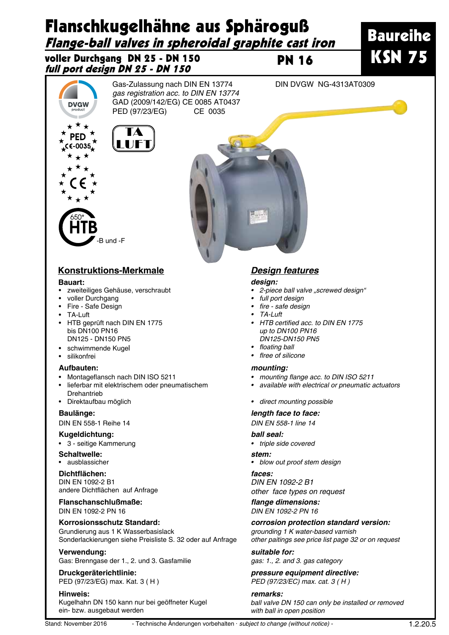

# **Konstruktions-Merkmale** *Design features*

-B und -F

### **Bauart:**

- • zweiteiliges Gehäuse, verschraubt
- voller Durchgang
- • Fire Safe Design
- • TA-Luft
- • HTB geprüft nach DIN EN 1775 bis DN100 PN16 DN125 - DN150 PN5
- • schwimmende Kugel
- • silikonfrei

## **Aufbauten:**

- Montageflansch nach DIN ISO 5211
- lieferbar mit elektrischem oder pneumatischem Drehantrieb
- • Direktaufbau möglich

### **Baulänge:**

DIN EN 558-1 Reihe 14

## **Kugeldichtung:**

• 3 - seitige Kammerung

# **Schaltwelle:**

• ausblassicher **Dichtflächen:**

# DIN EN 1092-2 B1 andere Dichtflächen auf Anfrage

**Flanschanschlußmaße:** DIN EN 1092-2 PN 16

# **Korrosionsschutz Standard:**

Grundierung aus 1 K Wasserbasislack Sonderlackierungen siehe Preisliste S. 32 oder auf Anfrage

### **Verwendung:**

Gas: Brenngase der 1., 2. und 3. Gasfamilie

**Druckgeräterichtlinie:** PED (97/23/EG) max. Kat. 3 ( H )

**Hinweis:**

Kugelhahn DN 150 kann nur bei geöffneter Kugel ein- bzw. ausgebaut werden

### *design:*

- 2-piece ball valve "screwed design"
- full port design
- fire safe design
- • TA-Luft
- HTB certified acc. to DIN EN 1775 up to DN100 PN16 DN125-DN150 PN5
- floating ball
- • flree of silicone

### *mounting:*

- mounting flange acc. to DIN ISO 5211
- • available with electrical or pneumatic actuators
- • direct mounting possible

### *length face to face:*

DIN EN 558-1 line 14

### *ball seal:*

• triple side covered

### *stem:*

• blow out proof stem design

# *faces:*

DIN EN 1092-2 B1 other face types on request

**flange dimensions:** DIN EN 1092-2 PN 16

### *corrosion protection standard version:*

grounding 1 K water-based varnish other paitings see price list page 32 or on request

*suitable for:* gas: 1., 2. and 3. gas category

### *pressure equipment directive:* PED (97/23/EC) max. cat. 3 ( H )

*remarks:* ball valve DN 150 can only be installed or removed with ball in open position